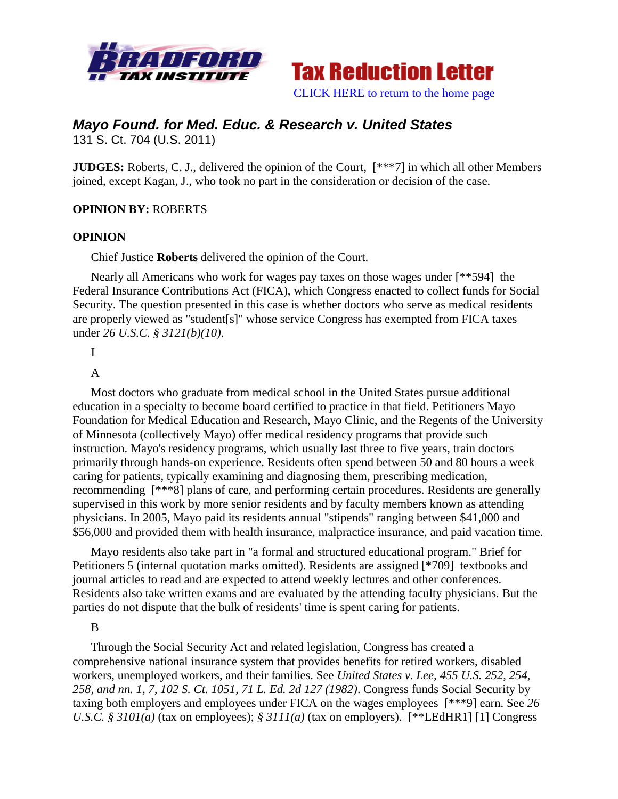



# *Mayo Found. for Med. Educ. & Research v. United States*

131 S. Ct. 704 (U.S. 2011)

**JUDGES:** Roberts, C. J., delivered the opinion of the Court,  $[***7]$  in which all other Members joined, except Kagan, J., who took no part in the consideration or decision of the case.

# **OPINION BY:** ROBERTS

### **OPINION**

Chief Justice **Roberts** delivered the opinion of the Court.

Nearly all Americans who work for wages pay taxes on those wages under [\*\*594] the Federal Insurance Contributions Act (FICA), which Congress enacted to collect funds for Social Security. The question presented in this case is whether doctors who serve as medical residents are properly viewed as "student[s]" whose service Congress has exempted from FICA taxes under *26 U.S.C. § 3121(b)(10)*.

I

### A

Most doctors who graduate from medical school in the United States pursue additional education in a specialty to become board certified to practice in that field. Petitioners Mayo Foundation for Medical Education and Research, Mayo Clinic, and the Regents of the University of Minnesota (collectively Mayo) offer medical residency programs that provide such instruction. Mayo's residency programs, which usually last three to five years, train doctors primarily through hands-on experience. Residents often spend between 50 and 80 hours a week caring for patients, typically examining and diagnosing them, prescribing medication, recommending [\*\*\*8] plans of care, and performing certain procedures. Residents are generally supervised in this work by more senior residents and by faculty members known as attending physicians. In 2005, Mayo paid its residents annual "stipends" ranging between \$41,000 and \$56,000 and provided them with health insurance, malpractice insurance, and paid vacation time.

Mayo residents also take part in "a formal and structured educational program." Brief for Petitioners 5 (internal quotation marks omitted). Residents are assigned [\*709] textbooks and journal articles to read and are expected to attend weekly lectures and other conferences. Residents also take written exams and are evaluated by the attending faculty physicians. But the parties do not dispute that the bulk of residents' time is spent caring for patients.

### B

Through the Social Security Act and related legislation, Congress has created a comprehensive national insurance system that provides benefits for retired workers, disabled workers, unemployed workers, and their families. See *United States v. Lee, 455 U.S. 252, 254, 258, and nn. 1, 7, 102 S. Ct. 1051, 71 L. Ed. 2d 127 (1982)*. Congress funds Social Security by taxing both employers and employees under FICA on the wages employees [\*\*\*9] earn. See *26 U.S.C. § 3101(a)* (tax on employees); *§ 3111(a)* (tax on employers). [\*\*LEdHR1] [1] Congress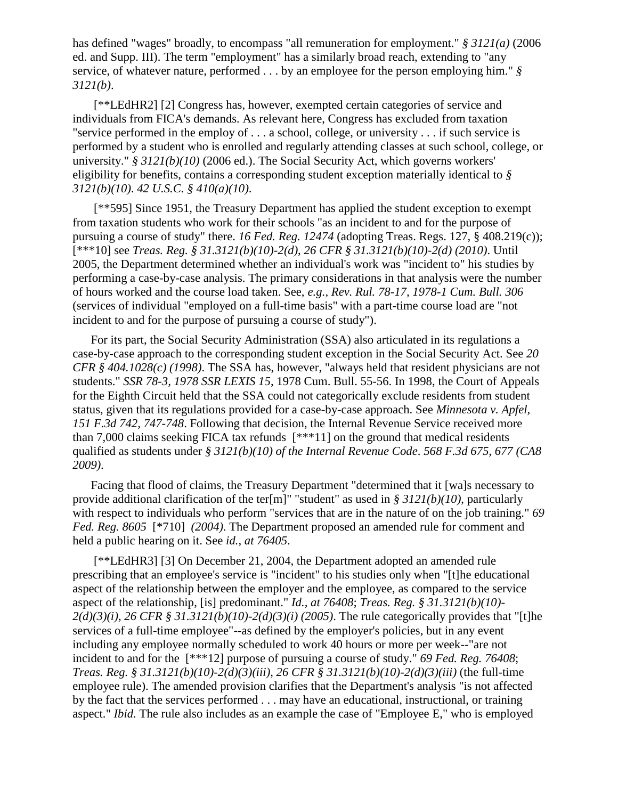has defined "wages" broadly, to encompass "all remuneration for employment." *§ 3121(a)* (2006 ed. and Supp. III). The term "employment" has a similarly broad reach, extending to "any service, of whatever nature, performed . . . by an employee for the person employing him." *§ 3121(b)*.

[\*\*LEdHR2] [2] Congress has, however, exempted certain categories of service and individuals from FICA's demands. As relevant here, Congress has excluded from taxation "service performed in the employ of . . . a school, college, or university . . . if such service is performed by a student who is enrolled and regularly attending classes at such school, college, or university." *§ 3121(b)(10)* (2006 ed.). The Social Security Act, which governs workers' eligibility for benefits, contains a corresponding student exception materially identical to *§ 3121(b)(10)*. *42 U.S.C. § 410(a)(10)*.

[\*\*595] Since 1951, the Treasury Department has applied the student exception to exempt from taxation students who work for their schools "as an incident to and for the purpose of pursuing a course of study" there. *16 Fed. Reg. 12474* (adopting Treas. Regs. 127, § 408.219(c)); [\*\*\*10] see *Treas. Reg. § 31.3121(b)(10)-2(d)*, *26 CFR § 31.3121(b)(10)-2(d) (2010)*. Until 2005, the Department determined whether an individual's work was "incident to" his studies by performing a case-by-case analysis. The primary considerations in that analysis were the number of hours worked and the course load taken. See, *e.g., Rev. Rul. 78-17, 1978-1 Cum. Bull. 306* (services of individual "employed on a full-time basis" with a part-time course load are "not incident to and for the purpose of pursuing a course of study").

For its part, the Social Security Administration (SSA) also articulated in its regulations a case-by-case approach to the corresponding student exception in the Social Security Act. See *20 CFR § 404.1028(c) (1998)*. The SSA has, however, "always held that resident physicians are not students." *SSR 78-3, 1978 SSR LEXIS 15*, 1978 Cum. Bull. 55-56. In 1998, the Court of Appeals for the Eighth Circuit held that the SSA could not categorically exclude residents from student status, given that its regulations provided for a case-by-case approach. See *Minnesota v. Apfel, 151 F.3d 742, 747-748*. Following that decision, the Internal Revenue Service received more than 7,000 claims seeking FICA tax refunds [\*\*\*11] on the ground that medical residents qualified as students under *§ 3121(b)(10) of the Internal Revenue Code*. *568 F.3d 675, 677 (CA8 2009)*.

Facing that flood of claims, the Treasury Department "determined that it [wa]s necessary to provide additional clarification of the ter[m]" "student" as used in *§ 3121(b)(10)*, particularly with respect to individuals who perform "services that are in the nature of on the job training." *69 Fed. Reg. 8605* [\*710] *(2004)*. The Department proposed an amended rule for comment and held a public hearing on it. See *id., at 76405*.

[\*\*LEdHR3] [3] On December 21, 2004, the Department adopted an amended rule prescribing that an employee's service is "incident" to his studies only when "[t]he educational aspect of the relationship between the employer and the employee, as compared to the service aspect of the relationship, [is] predominant." *Id., at 76408*; *Treas. Reg. § 31.3121(b)(10)- 2(d)(3)(i)*, *26 CFR § 31.3121(b)(10)-2(d)(3)(i) (2005)*. The rule categorically provides that "[t]he services of a full-time employee"--as defined by the employer's policies, but in any event including any employee normally scheduled to work 40 hours or more per week--"are not incident to and for the [\*\*\*12] purpose of pursuing a course of study." *69 Fed. Reg. 76408*; *Treas. Reg. § 31.3121(b)(10)-2(d)(3)(iii)*, *26 CFR § 31.3121(b)(10)-2(d)(3)(iii)* (the full-time employee rule). The amended provision clarifies that the Department's analysis "is not affected by the fact that the services performed . . . may have an educational, instructional, or training aspect." *Ibid.* The rule also includes as an example the case of "Employee E," who is employed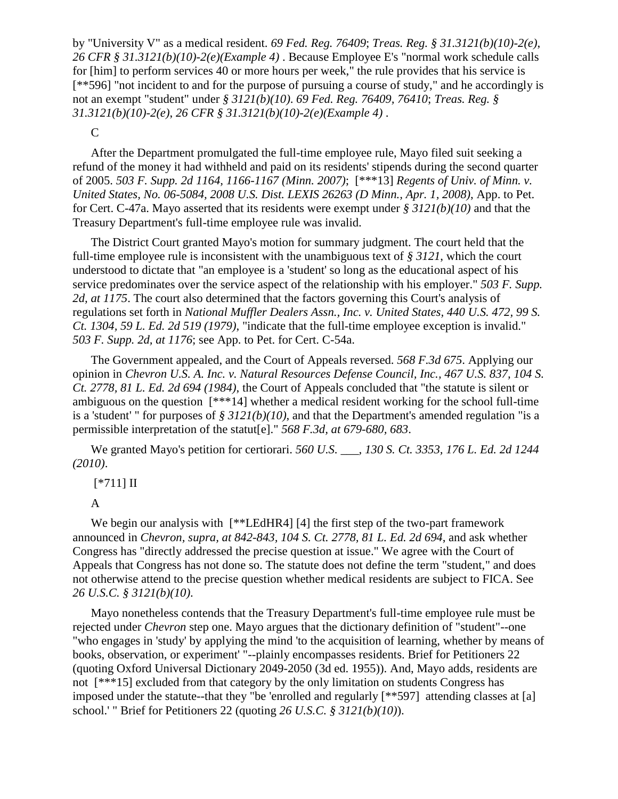by "University V" as a medical resident. *69 Fed. Reg. 76409*; *Treas. Reg. § 31.3121(b)(10)-2(e)*, *26 CFR § 31.3121(b)(10)-2(e)(Example 4)* . Because Employee E's "normal work schedule calls for [him] to perform services 40 or more hours per week," the rule provides that his service is [\*\*596] "not incident to and for the purpose of pursuing a course of study," and he accordingly is not an exempt "student" under *§ 3121(b)(10)*. *69 Fed. Reg. 76409, 76410*; *Treas. Reg. § 31.3121(b)(10)-2(e)*, *26 CFR § 31.3121(b)(10)-2(e)(Example 4)* .

C

After the Department promulgated the full-time employee rule, Mayo filed suit seeking a refund of the money it had withheld and paid on its residents' stipends during the second quarter of 2005. *503 F. Supp. 2d 1164, 1166-1167 (Minn. 2007)*; [\*\*\*13] *Regents of Univ. of Minn. v. United States, No. 06-5084, 2008 U.S. Dist. LEXIS 26263 (D Minn., Apr. 1, 2008)*, App. to Pet. for Cert. C-47a. Mayo asserted that its residents were exempt under *§ 3121(b)(10)* and that the Treasury Department's full-time employee rule was invalid.

The District Court granted Mayo's motion for summary judgment. The court held that the full-time employee rule is inconsistent with the unambiguous text of *§ 3121*, which the court understood to dictate that "an employee is a 'student' so long as the educational aspect of his service predominates over the service aspect of the relationship with his employer." *503 F. Supp. 2d, at 1175*. The court also determined that the factors governing this Court's analysis of regulations set forth in *National Muffler Dealers Assn., Inc. v. United States, 440 U.S. 472, 99 S. Ct. 1304, 59 L. Ed. 2d 519 (1979)*, "indicate that the full-time employee exception is invalid." *503 F. Supp. 2d, at 1176*; see App. to Pet. for Cert. C-54a.

The Government appealed, and the Court of Appeals reversed. *568 F.3d 675*. Applying our opinion in *Chevron U.S. A. Inc. v. Natural Resources Defense Council, Inc., 467 U.S. 837, 104 S. Ct. 2778, 81 L. Ed. 2d 694 (1984)*, the Court of Appeals concluded that "the statute is silent or ambiguous on the question [\*\*\*14] whether a medical resident working for the school full-time is a 'student' " for purposes of *§ 3121(b)(10)*, and that the Department's amended regulation "is a permissible interpretation of the statut[e]." *568 F.3d, at 679-680, 683*.

We granted Mayo's petition for certiorari. *560 U.S. \_\_\_, 130 S. Ct. 3353, 176 L. Ed. 2d 1244 (2010)*.

[\*711] II

A

We begin our analysis with  $[**LEdHR4] [4]$  the first step of the two-part framework announced in *Chevron, supra, at 842-843, 104 S. Ct. 2778, 81 L. Ed. 2d 694*, and ask whether Congress has "directly addressed the precise question at issue." We agree with the Court of Appeals that Congress has not done so. The statute does not define the term "student," and does not otherwise attend to the precise question whether medical residents are subject to FICA. See *26 U.S.C. § 3121(b)(10)*.

Mayo nonetheless contends that the Treasury Department's full-time employee rule must be rejected under *Chevron* step one. Mayo argues that the dictionary definition of "student"--one "who engages in 'study' by applying the mind 'to the acquisition of learning, whether by means of books, observation, or experiment' "--plainly encompasses residents. Brief for Petitioners 22 (quoting Oxford Universal Dictionary 2049-2050 (3d ed. 1955)). And, Mayo adds, residents are not [\*\*\*15] excluded from that category by the only limitation on students Congress has imposed under the statute--that they "be 'enrolled and regularly [\*\*597] attending classes at [a] school.' " Brief for Petitioners 22 (quoting *26 U.S.C. § 3121(b)(10)*).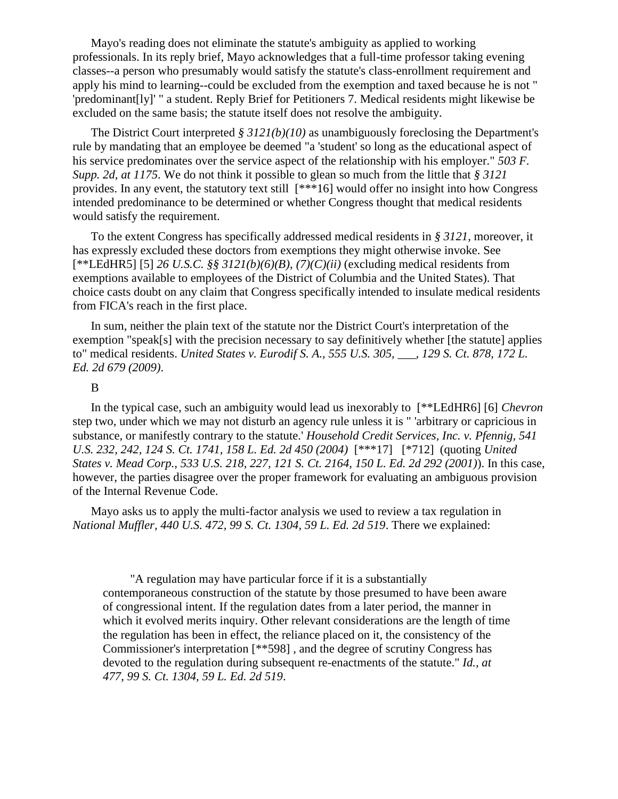Mayo's reading does not eliminate the statute's ambiguity as applied to working professionals. In its reply brief, Mayo acknowledges that a full-time professor taking evening classes--a person who presumably would satisfy the statute's class-enrollment requirement and apply his mind to learning--could be excluded from the exemption and taxed because he is not " 'predominant[ly]' " a student. Reply Brief for Petitioners 7. Medical residents might likewise be excluded on the same basis; the statute itself does not resolve the ambiguity.

The District Court interpreted *§ 3121(b)(10)* as unambiguously foreclosing the Department's rule by mandating that an employee be deemed "a 'student' so long as the educational aspect of his service predominates over the service aspect of the relationship with his employer." *503 F. Supp. 2d, at 1175*. We do not think it possible to glean so much from the little that *§ 3121* provides. In any event, the statutory text still [\*\*\*16] would offer no insight into how Congress intended predominance to be determined or whether Congress thought that medical residents would satisfy the requirement.

To the extent Congress has specifically addressed medical residents in *§ 3121*, moreover, it has expressly excluded these doctors from exemptions they might otherwise invoke. See [\*\*LEdHR5] [5] *26 U.S.C. §§ 3121(b)(6)(B)*, *(7)(C)(ii)* (excluding medical residents from exemptions available to employees of the District of Columbia and the United States). That choice casts doubt on any claim that Congress specifically intended to insulate medical residents from FICA's reach in the first place.

In sum, neither the plain text of the statute nor the District Court's interpretation of the exemption "speak[s] with the precision necessary to say definitively whether [the statute] applies to" medical residents. *United States v. Eurodif S. A., 555 U.S. 305, \_\_\_, 129 S. Ct. 878, 172 L. Ed. 2d 679 (2009)*.

#### B

In the typical case, such an ambiguity would lead us inexorably to [\*\*LEdHR6] [6] *Chevron* step two, under which we may not disturb an agency rule unless it is " 'arbitrary or capricious in substance, or manifestly contrary to the statute.' *Household Credit Services, Inc. v. Pfennig, 541 U.S. 232, 242, 124 S. Ct. 1741, 158 L. Ed. 2d 450 (2004)* [\*\*\*17] [\*712] (quoting *United States v. Mead Corp., 533 U.S. 218, 227, 121 S. Ct. 2164, 150 L. Ed. 2d 292 (2001)*). In this case, however, the parties disagree over the proper framework for evaluating an ambiguous provision of the Internal Revenue Code.

Mayo asks us to apply the multi-factor analysis we used to review a tax regulation in *National Muffler, 440 U.S. 472, 99 S. Ct. 1304, 59 L. Ed. 2d 519*. There we explained:

 "A regulation may have particular force if it is a substantially contemporaneous construction of the statute by those presumed to have been aware of congressional intent. If the regulation dates from a later period, the manner in which it evolved merits inquiry. Other relevant considerations are the length of time the regulation has been in effect, the reliance placed on it, the consistency of the Commissioner's interpretation [\*\*598] , and the degree of scrutiny Congress has devoted to the regulation during subsequent re-enactments of the statute." *Id., at 477, 99 S. Ct. 1304, 59 L. Ed. 2d 519*.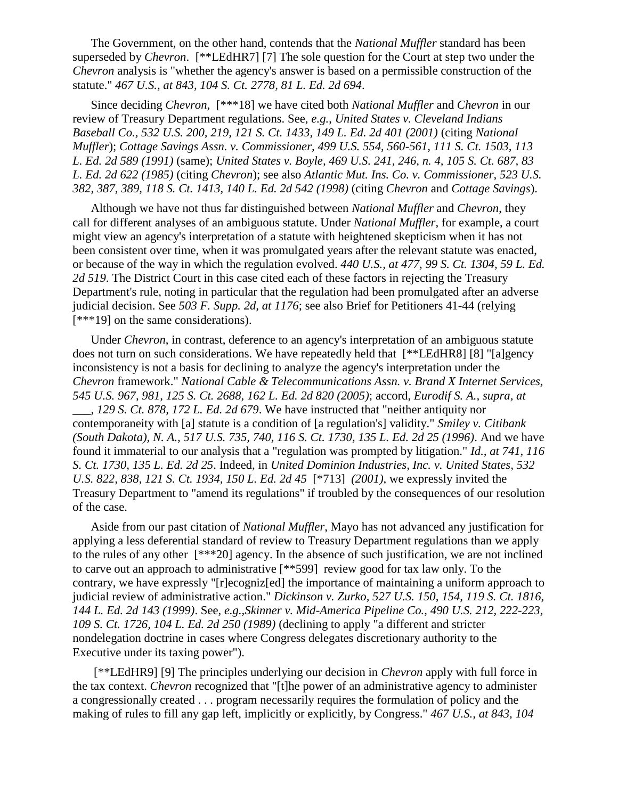The Government, on the other hand, contends that the *National Muffler* standard has been superseded by *Chevron*. [\*\*LEdHR7] [7] The sole question for the Court at step two under the *Chevron* analysis is "whether the agency's answer is based on a permissible construction of the statute." *467 U.S., at 843, 104 S. Ct. 2778, 81 L. Ed. 2d 694*.

Since deciding *Chevron*, [\*\*\*18] we have cited both *National Muffler* and *Chevron* in our review of Treasury Department regulations. See, *e.g.*, *United States v. Cleveland Indians Baseball Co., 532 U.S. 200, 219, 121 S. Ct. 1433, 149 L. Ed. 2d 401 (2001)* (citing *National Muffler*); *Cottage Savings Assn. v. Commissioner, 499 U.S. 554, 560-561, 111 S. Ct. 1503, 113 L. Ed. 2d 589 (1991)* (same); *United States v. Boyle, 469 U.S. 241, 246, n. 4, 105 S. Ct. 687, 83 L. Ed. 2d 622 (1985)* (citing *Chevron*); see also *Atlantic Mut. Ins. Co. v. Commissioner, 523 U.S. 382, 387, 389, 118 S. Ct. 1413, 140 L. Ed. 2d 542 (1998)* (citing *Chevron* and *Cottage Savings*).

Although we have not thus far distinguished between *National Muffler* and *Chevron*, they call for different analyses of an ambiguous statute. Under *National Muffler*, for example, a court might view an agency's interpretation of a statute with heightened skepticism when it has not been consistent over time, when it was promulgated years after the relevant statute was enacted, or because of the way in which the regulation evolved. *440 U.S., at 477, 99 S. Ct. 1304, 59 L. Ed. 2d 519*. The District Court in this case cited each of these factors in rejecting the Treasury Department's rule, noting in particular that the regulation had been promulgated after an adverse judicial decision. See *503 F. Supp. 2d, at 1176*; see also Brief for Petitioners 41-44 (relying [\*\*\*19] on the same considerations).

Under *Chevron*, in contrast, deference to an agency's interpretation of an ambiguous statute does not turn on such considerations. We have repeatedly held that [\*\*LEdHR8] [8] "[a]gency inconsistency is not a basis for declining to analyze the agency's interpretation under the *Chevron* framework." *National Cable & Telecommunications Assn. v. Brand X Internet Services, 545 U.S. 967, 981, 125 S. Ct. 2688, 162 L. Ed. 2d 820 (2005)*; accord, *Eurodif S. A., supra, at \_\_\_, 129 S. Ct. 878, 172 L. Ed. 2d 679*. We have instructed that "neither antiquity nor contemporaneity with [a] statute is a condition of [a regulation's] validity." *Smiley v. Citibank (South Dakota), N. A., 517 U.S. 735, 740, 116 S. Ct. 1730, 135 L. Ed. 2d 25 (1996)*. And we have found it immaterial to our analysis that a "regulation was prompted by litigation." *Id., at 741, 116 S. Ct. 1730, 135 L. Ed. 2d 25*. Indeed, in *United Dominion Industries, Inc. v. United States, 532 U.S. 822, 838, 121 S. Ct. 1934, 150 L. Ed. 2d 45*  $[*713]$  (2001), we expressly invited the Treasury Department to "amend its regulations" if troubled by the consequences of our resolution of the case.

Aside from our past citation of *National Muffler*, Mayo has not advanced any justification for applying a less deferential standard of review to Treasury Department regulations than we apply to the rules of any other [\*\*\*20] agency. In the absence of such justification, we are not inclined to carve out an approach to administrative [\*\*599] review good for tax law only. To the contrary, we have expressly "[r]ecogniz[ed] the importance of maintaining a uniform approach to judicial review of administrative action." *Dickinson v. Zurko, 527 U.S. 150, 154, 119 S. Ct. 1816, 144 L. Ed. 2d 143 (1999)*. See, *e.g.,Skinner v. Mid-America Pipeline Co., 490 U.S. 212, 222-223, 109 S. Ct. 1726, 104 L. Ed. 2d 250 (1989)* (declining to apply "a different and stricter nondelegation doctrine in cases where Congress delegates discretionary authority to the Executive under its taxing power").

[\*\*LEdHR9] [9] The principles underlying our decision in *Chevron* apply with full force in the tax context. *Chevron* recognized that "[t]he power of an administrative agency to administer a congressionally created . . . program necessarily requires the formulation of policy and the making of rules to fill any gap left, implicitly or explicitly, by Congress." *467 U.S., at 843, 104*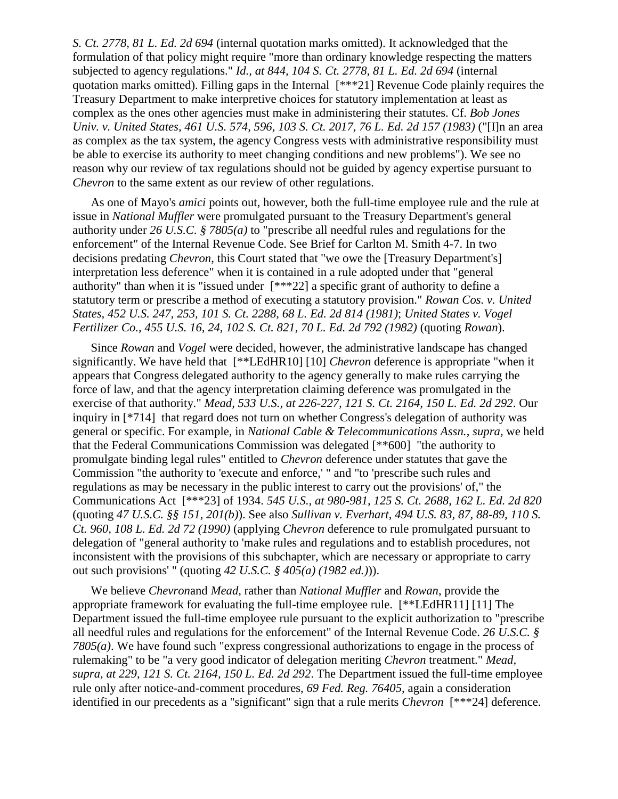*S. Ct. 2778, 81 L. Ed. 2d 694* (internal quotation marks omitted). It acknowledged that the formulation of that policy might require "more than ordinary knowledge respecting the matters subjected to agency regulations." *Id., at 844, 104 S. Ct. 2778, 81 L. Ed. 2d 694* (internal quotation marks omitted). Filling gaps in the Internal [\*\*\*21] Revenue Code plainly requires the Treasury Department to make interpretive choices for statutory implementation at least as complex as the ones other agencies must make in administering their statutes. Cf. *Bob Jones Univ. v. United States, 461 U.S. 574, 596, 103 S. Ct. 2017, 76 L. Ed. 2d 157 (1983)* ("[I]n an area as complex as the tax system, the agency Congress vests with administrative responsibility must be able to exercise its authority to meet changing conditions and new problems"). We see no reason why our review of tax regulations should not be guided by agency expertise pursuant to *Chevron* to the same extent as our review of other regulations.

As one of Mayo's *amici* points out, however, both the full-time employee rule and the rule at issue in *National Muffler* were promulgated pursuant to the Treasury Department's general authority under *26 U.S.C. § 7805(a)* to "prescribe all needful rules and regulations for the enforcement" of the Internal Revenue Code. See Brief for Carlton M. Smith 4-7. In two decisions predating *Chevron*, this Court stated that "we owe the [Treasury Department's] interpretation less deference" when it is contained in a rule adopted under that "general authority" than when it is "issued under [\*\*\*22] a specific grant of authority to define a statutory term or prescribe a method of executing a statutory provision." *Rowan Cos. v. United States, 452 U.S. 247, 253, 101 S. Ct. 2288, 68 L. Ed. 2d 814 (1981)*; *United States v. Vogel Fertilizer Co., 455 U.S. 16, 24, 102 S. Ct. 821, 70 L. Ed. 2d 792 (1982)* (quoting *Rowan*).

Since *Rowan* and *Vogel* were decided, however, the administrative landscape has changed significantly. We have held that [\*\*LEdHR10] [10] *Chevron* deference is appropriate "when it appears that Congress delegated authority to the agency generally to make rules carrying the force of law, and that the agency interpretation claiming deference was promulgated in the exercise of that authority." *Mead, 533 U.S., at 226-227, 121 S. Ct. 2164, 150 L. Ed. 2d 292*. Our inquiry in [\*714] that regard does not turn on whether Congress's delegation of authority was general or specific. For example, in *National Cable & Telecommunications Assn.*, *supra,* we held that the Federal Communications Commission was delegated [\*\*600] "the authority to promulgate binding legal rules" entitled to *Chevron* deference under statutes that gave the Commission "the authority to 'execute and enforce,' " and "to 'prescribe such rules and regulations as may be necessary in the public interest to carry out the provisions' of," the Communications Act [\*\*\*23] of 1934. *545 U.S., at 980-981, 125 S. Ct. 2688, 162 L. Ed. 2d 820* (quoting *47 U.S.C. §§ 151*, *201(b)*). See also *Sullivan v. Everhart, 494 U.S. 83, 87, 88-89, 110 S. Ct. 960, 108 L. Ed. 2d 72 (1990)* (applying *Chevron* deference to rule promulgated pursuant to delegation of "general authority to 'make rules and regulations and to establish procedures, not inconsistent with the provisions of this subchapter, which are necessary or appropriate to carry out such provisions' " (quoting *42 U.S.C. § 405(a) (1982 ed.)*)).

We believe *Chevron*and *Mead*, rather than *National Muffler* and *Rowan*, provide the appropriate framework for evaluating the full-time employee rule. [\*\*LEdHR11] [11] The Department issued the full-time employee rule pursuant to the explicit authorization to "prescribe all needful rules and regulations for the enforcement" of the Internal Revenue Code. *26 U.S.C. § 7805(a)*. We have found such "express congressional authorizations to engage in the process of rulemaking" to be "a very good indicator of delegation meriting *Chevron* treatment." *Mead, supra, at 229, 121 S. Ct. 2164, 150 L. Ed. 2d 292*. The Department issued the full-time employee rule only after notice-and-comment procedures, *69 Fed. Reg. 76405*, again a consideration identified in our precedents as a "significant" sign that a rule merits *Chevron* [\*\*\*24] deference.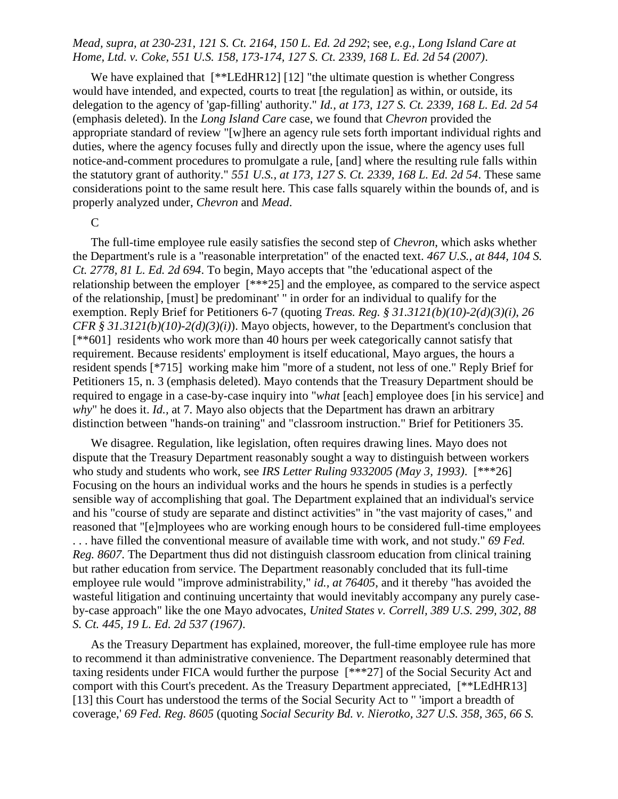# *Mead, supra, at 230-231, 121 S. Ct. 2164, 150 L. Ed. 2d 292*; see, *e.g., Long Island Care at Home, Ltd. v. Coke, 551 U.S. 158, 173-174, 127 S. Ct. 2339, 168 L. Ed. 2d 54 (2007)*.

We have explained that  $[**LEdHR12] [12]$  "the ultimate question is whether Congress" would have intended, and expected, courts to treat [the regulation] as within, or outside, its delegation to the agency of 'gap-filling' authority." *Id., at 173, 127 S. Ct. 2339, 168 L. Ed. 2d 54* (emphasis deleted). In the *Long Island Care* case, we found that *Chevron* provided the appropriate standard of review "[w]here an agency rule sets forth important individual rights and duties, where the agency focuses fully and directly upon the issue, where the agency uses full notice-and-comment procedures to promulgate a rule, [and] where the resulting rule falls within the statutory grant of authority." *551 U.S., at 173, 127 S. Ct. 2339, 168 L. Ed. 2d 54*. These same considerations point to the same result here. This case falls squarely within the bounds of, and is properly analyzed under, *Chevron* and *Mead*.

 $\mathsf{C}$ 

The full-time employee rule easily satisfies the second step of *Chevron*, which asks whether the Department's rule is a "reasonable interpretation" of the enacted text. *467 U.S., at 844, 104 S. Ct. 2778, 81 L. Ed. 2d 694*. To begin, Mayo accepts that "the 'educational aspect of the relationship between the employer [\*\*\*25] and the employee, as compared to the service aspect of the relationship, [must] be predominant' " in order for an individual to qualify for the exemption. Reply Brief for Petitioners 6-7 (quoting *Treas. Reg. § 31.3121(b)(10)-2(d)(3)(i)*, *26 CFR § 31.3121(b)(10)-2(d)(3)(i)*). Mayo objects, however, to the Department's conclusion that [\*\*601] residents who work more than 40 hours per week categorically cannot satisfy that requirement. Because residents' employment is itself educational, Mayo argues, the hours a resident spends [\*715] working make him "more of a student, not less of one." Reply Brief for Petitioners 15, n. 3 (emphasis deleted). Mayo contends that the Treasury Department should be required to engage in a case-by-case inquiry into "*what* [each] employee does [in his service] and *why*" he does it. *Id.,* at 7. Mayo also objects that the Department has drawn an arbitrary distinction between "hands-on training" and "classroom instruction." Brief for Petitioners 35.

We disagree. Regulation, like legislation, often requires drawing lines. Mayo does not dispute that the Treasury Department reasonably sought a way to distinguish between workers who study and students who work, see *IRS Letter Ruling 9332005 (May 3, 1993)*. [\*\*\*26] Focusing on the hours an individual works and the hours he spends in studies is a perfectly sensible way of accomplishing that goal. The Department explained that an individual's service and his "course of study are separate and distinct activities" in "the vast majority of cases," and reasoned that "[e]mployees who are working enough hours to be considered full-time employees . . . have filled the conventional measure of available time with work, and not study." *69 Fed. Reg. 8607*. The Department thus did not distinguish classroom education from clinical training but rather education from service. The Department reasonably concluded that its full-time employee rule would "improve administrability," *id., at 76405*, and it thereby "has avoided the wasteful litigation and continuing uncertainty that would inevitably accompany any purely caseby-case approach" like the one Mayo advocates, *United States v. Correll, 389 U.S. 299, 302, 88 S. Ct. 445, 19 L. Ed. 2d 537 (1967)*.

As the Treasury Department has explained, moreover, the full-time employee rule has more to recommend it than administrative convenience. The Department reasonably determined that taxing residents under FICA would further the purpose [\*\*\*27] of the Social Security Act and comport with this Court's precedent. As the Treasury Department appreciated, [\*\*LEdHR13] [13] this Court has understood the terms of the Social Security Act to " 'import a breadth of coverage,' *69 Fed. Reg. 8605* (quoting *Social Security Bd. v. Nierotko, 327 U.S. 358, 365, 66 S.*